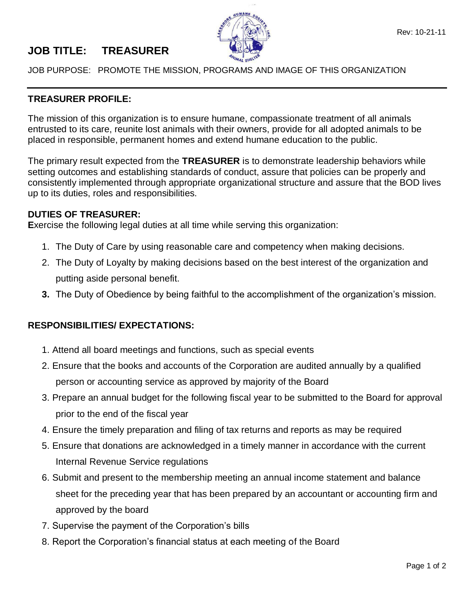

## **JOB TITLE: TREASURER**

JOB PURPOSE: PROMOTE THE MISSION, PROGRAMS AND IMAGE OF THIS ORGANIZATION

## **TREASURER PROFILE:**

The mission of this organization is to ensure humane, compassionate treatment of all animals entrusted to its care, reunite lost animals with their owners, provide for all adopted animals to be placed in responsible, permanent homes and extend humane education to the public.

The primary result expected from the **TREASURER** is to demonstrate leadership behaviors while setting outcomes and establishing standards of conduct, assure that policies can be properly and consistently implemented through appropriate organizational structure and assure that the BOD lives up to its duties, roles and responsibilities.

## **DUTIES OF TREASURER:**

**E**xercise the following legal duties at all time while serving this organization:

- 1. The Duty of Care by using reasonable care and competency when making decisions.
- 2. The Duty of Loyalty by making decisions based on the best interest of the organization and putting aside personal benefit.
- **3.** The Duty of Obedience by being faithful to the accomplishment of the organization's mission.

## **RESPONSIBILITIES/ EXPECTATIONS:**

- 1. Attend all board meetings and functions, such as special events
- 2. Ensure that the books and accounts of the Corporation are audited annually by a qualified person or accounting service as approved by majority of the Board
- 3. Prepare an annual budget for the following fiscal year to be submitted to the Board for approval prior to the end of the fiscal year
- 4. Ensure the timely preparation and filing of tax returns and reports as may be required
- 5. Ensure that donations are acknowledged in a timely manner in accordance with the current Internal Revenue Service regulations
- 6. Submit and present to the membership meeting an annual income statement and balance sheet for the preceding year that has been prepared by an accountant or accounting firm and approved by the board
- 7. Supervise the payment of the Corporation's bills
- 8. Report the Corporation's financial status at each meeting of the Board